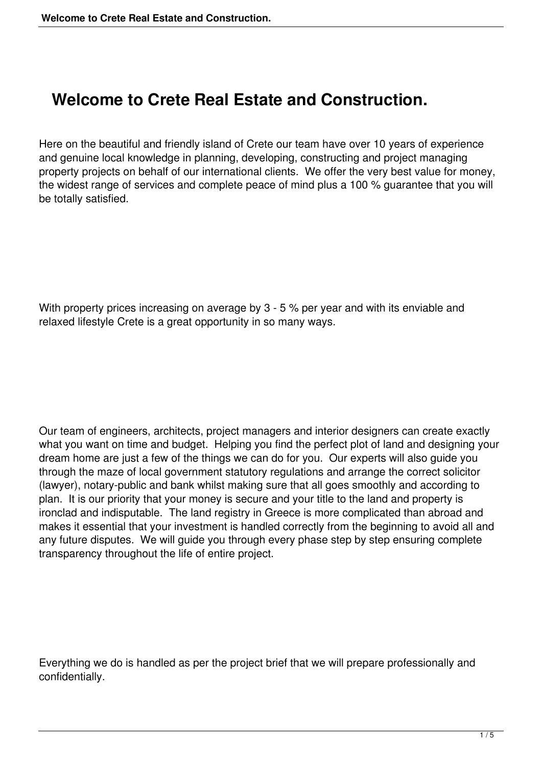## **Welcome to Crete Real Estate and Construction.**

Here on the beautiful and friendly island of Crete our team have over 10 years of experience and genuine local knowledge in planning, developing, constructing and project managing property projects on behalf of our international clients. We offer the very best value for money, the widest range of services and complete peace of mind plus a 100 % guarantee that you will be totally satisfied.

With property prices increasing on average by 3 - 5 % per year and with its enviable and relaxed lifestyle Crete is a great opportunity in so many ways.

Our team of engineers, architects, project managers and interior designers can create exactly what you want on time and budget. Helping you find the perfect plot of land and designing your dream home are just a few of the things we can do for you. Our experts will also guide you through the maze of local government statutory regulations and arrange the correct solicitor (lawyer), notary-public and bank whilst making sure that all goes smoothly and according to plan. It is our priority that your money is secure and your title to the land and property is ironclad and indisputable. The land registry in Greece is more complicated than abroad and makes it essential that your investment is handled correctly from the beginning to avoid all and any future disputes. We will guide you through every phase step by step ensuring complete transparency throughout the life of entire project.

Everything we do is handled as per the project brief that we will prepare professionally and confidentially.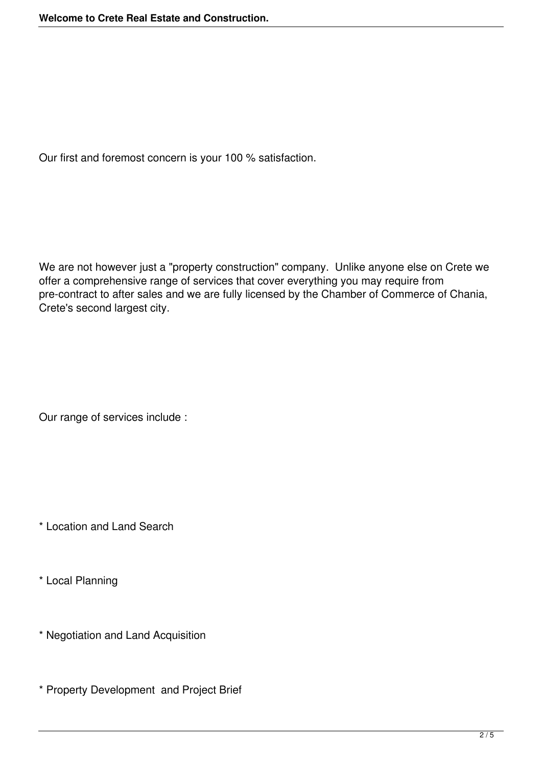Our first and foremost concern is your 100 % satisfaction.

We are not however just a "property construction" company. Unlike anyone else on Crete we offer a comprehensive range of services that cover everything you may require from pre-contract to after sales and we are fully licensed by the Chamber of Commerce of Chania, Crete's second largest city.

Our range of services include :

\* Location and Land Search

\* Local Planning

\* Negotiation and Land Acquisition

\* Property Development and Project Brief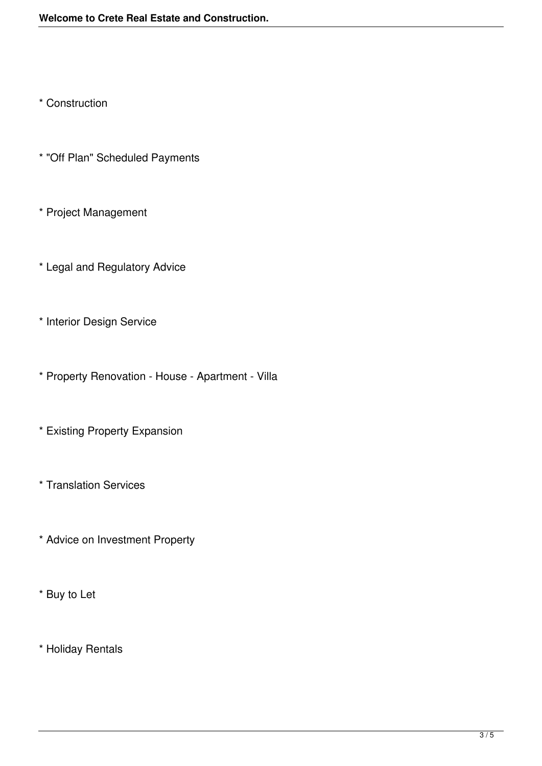\* Construction

- \* "Off Plan" Scheduled Payments
- \* Project Management
- \* Legal and Regulatory Advice
- \* Interior Design Service
- \* Property Renovation House Apartment Villa
- \* Existing Property Expansion
- \* Translation Services
- \* Advice on Investment Property
- \* Buy to Let
- \* Holiday Rentals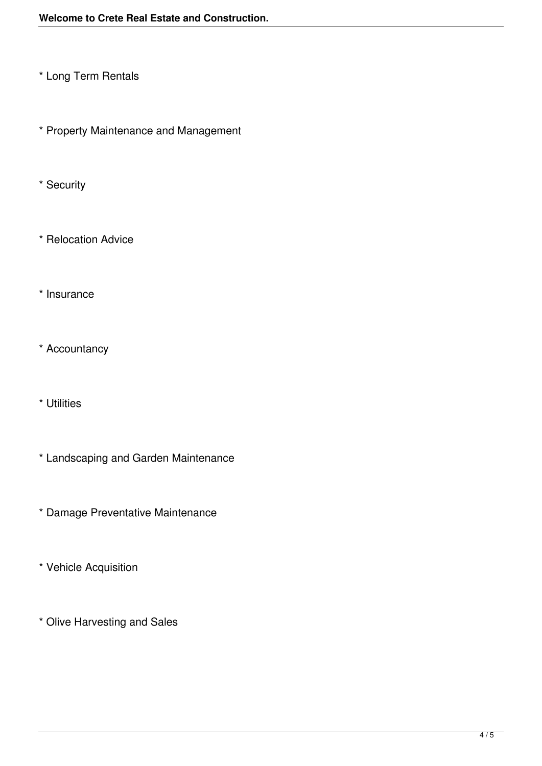- \* Long Term Rentals
- \* Property Maintenance and Management
- \* Security
- \* Relocation Advice
- \* Insurance
- \* Accountancy
- \* Utilities
- \* Landscaping and Garden Maintenance
- \* Damage Preventative Maintenance
- \* Vehicle Acquisition
- \* Olive Harvesting and Sales